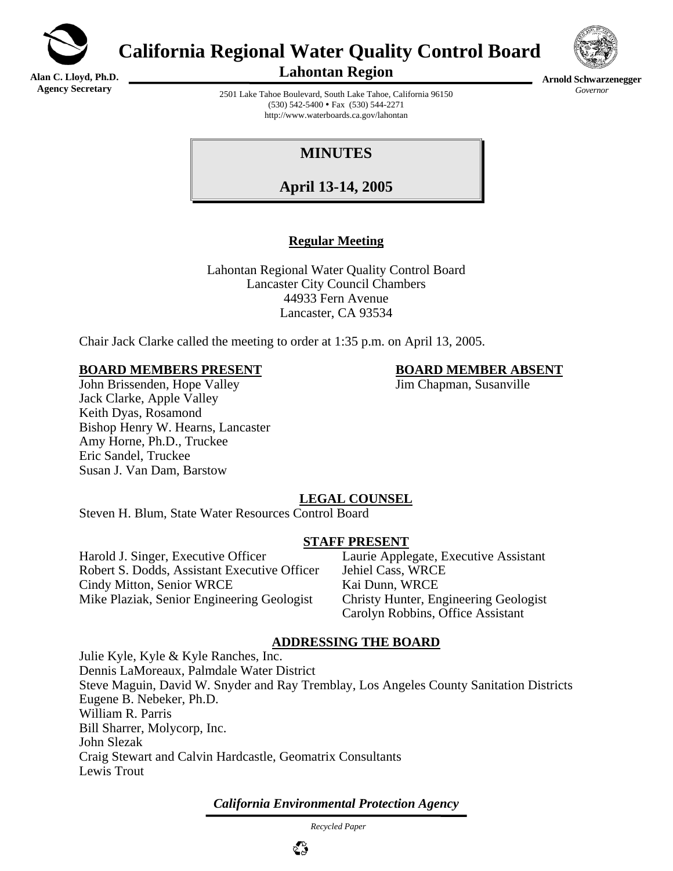

**California Regional Water Quality Control Board** 

**Alan C. Lloyd, Ph.D. Agency Secretary**

**Lahontan Region** 



**Arnold Schwarzenegger** *Governor* 

2501 Lake Tahoe Boulevard, South Lake Tahoe, California 96150  $(530)$  542-5400 • Fax  $(530)$  544-2271 http://www.waterboards.ca.gov/lahontan

# **MINUTES**

**April 13-14, 2005**

## **Regular Meeting**

Lahontan Regional Water Quality Control Board Lancaster City Council Chambers 44933 Fern Avenue Lancaster, CA 93534

Chair Jack Clarke called the meeting to order at 1:35 p.m. on April 13, 2005.

#### **BOARD MEMBERS PRESENT BOARD MEMBER ABSENT**

John Brissenden, Hope Valley **John Brissenden, Hope Valley** Jim Chapman, Susanville Jack Clarke, Apple Valley Keith Dyas, Rosamond Bishop Henry W. Hearns, Lancaster Amy Horne, Ph.D., Truckee Eric Sandel, Truckee Susan J. Van Dam, Barstow

# **LEGAL COUNSEL**

Steven H. Blum, State Water Resources Control Board

## **STAFF PRESENT**

Harold J. Singer, Executive Officer Laurie Applegate, Executive Assistant Robert S. Dodds, Assistant Executive Officer Jehiel Cass, WRCE Cindy Mitton, Senior WRCE<br>
Mike Plaziak, Senior Engineering Geologist<br>
Christy Hunter, Engineering Geologist Mike Plaziak, Senior Engineering Geologist

Carolyn Robbins, Office Assistant

## **ADDRESSING THE BOARD**

Julie Kyle, Kyle & Kyle Ranches, Inc. Dennis LaMoreaux, Palmdale Water District Steve Maguin, David W. Snyder and Ray Tremblay, Los Angeles County Sanitation Districts Eugene B. Nebeker, Ph.D. William R. Parris Bill Sharrer, Molycorp, Inc. John Slezak Craig Stewart and Calvin Hardcastle, Geomatrix Consultants Lewis Trout

*California Environmental Protection Agency*

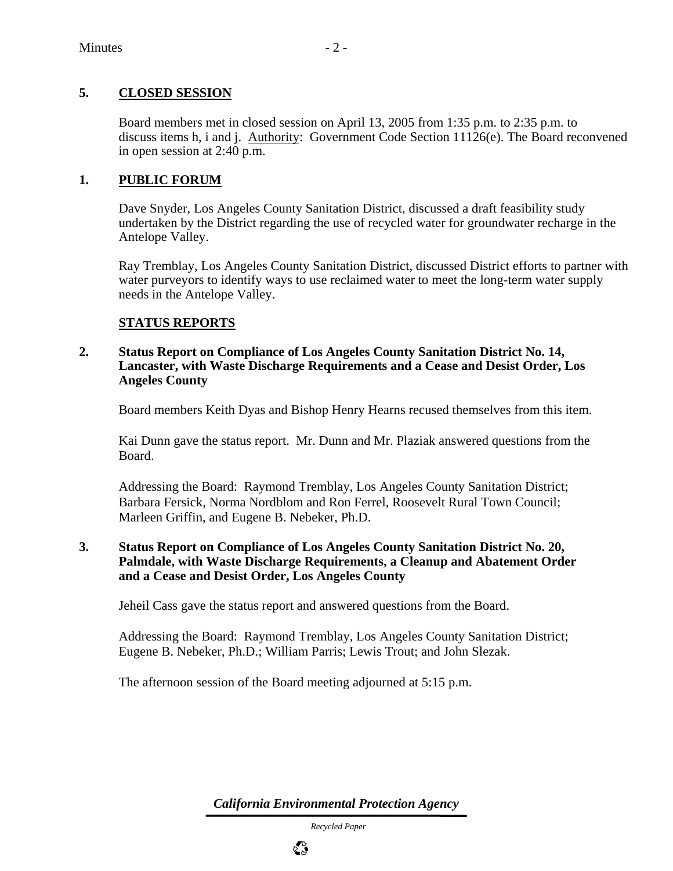## **5. CLOSED SESSION**

Board members met in closed session on April 13, 2005 from 1:35 p.m. to 2:35 p.m. to discuss items h, i and j. Authority: Government Code Section 11126(e). The Board reconvened in open session at 2:40 p.m.

#### **1. PUBLIC FORUM**

Dave Snyder, Los Angeles County Sanitation District, discussed a draft feasibility study undertaken by the District regarding the use of recycled water for groundwater recharge in the Antelope Valley.

Ray Tremblay, Los Angeles County Sanitation District, discussed District efforts to partner with water purveyors to identify ways to use reclaimed water to meet the long-term water supply needs in the Antelope Valley.

## **STATUS REPORTS**

#### **2. Status Report on Compliance of Los Angeles County Sanitation District No. 14, Lancaster, with Waste Discharge Requirements and a Cease and Desist Order, Los Angeles County**

Board members Keith Dyas and Bishop Henry Hearns recused themselves from this item.

Kai Dunn gave the status report. Mr. Dunn and Mr. Plaziak answered questions from the Board.

Addressing the Board: Raymond Tremblay, Los Angeles County Sanitation District; Barbara Fersick, Norma Nordblom and Ron Ferrel, Roosevelt Rural Town Council; Marleen Griffin, and Eugene B. Nebeker, Ph.D.

#### **3. Status Report on Compliance of Los Angeles County Sanitation District No. 20, Palmdale, with Waste Discharge Requirements, a Cleanup and Abatement Order and a Cease and Desist Order, Los Angeles County**

Jeheil Cass gave the status report and answered questions from the Board.

Addressing the Board: Raymond Tremblay, Los Angeles County Sanitation District; Eugene B. Nebeker, Ph.D.; William Parris; Lewis Trout; and John Slezak.

The afternoon session of the Board meeting adjourned at 5:15 p.m.

*California Environmental Protection Agency*

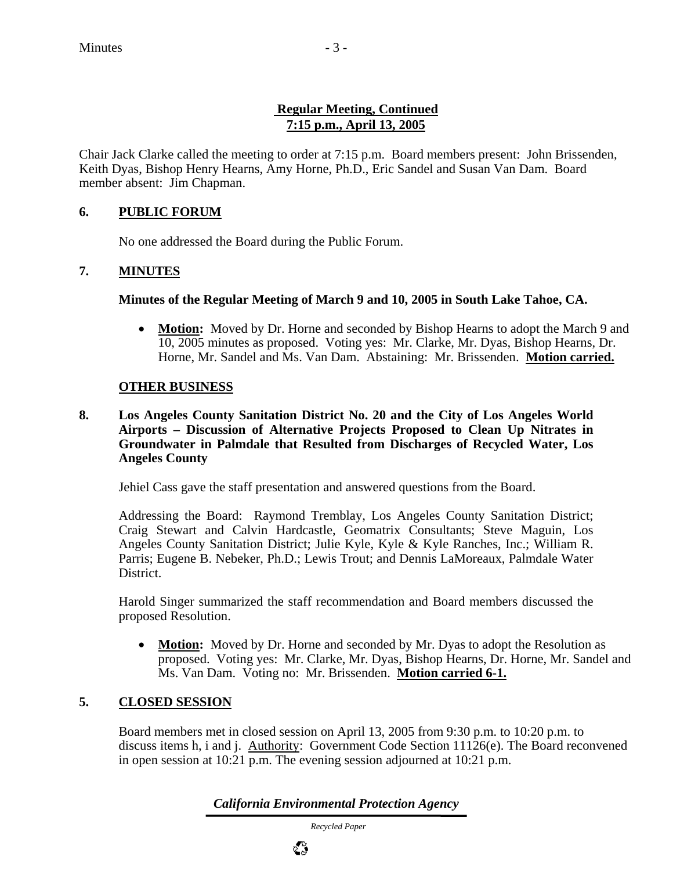## **Regular Meeting, Continued 7:15 p.m., April 13, 2005**

Chair Jack Clarke called the meeting to order at 7:15 p.m. Board members present: John Brissenden, Keith Dyas, Bishop Henry Hearns, Amy Horne, Ph.D., Eric Sandel and Susan Van Dam. Board member absent: Jim Chapman.

## **6. PUBLIC FORUM**

No one addressed the Board during the Public Forum.

## **7. MINUTES**

## **Minutes of the Regular Meeting of March 9 and 10, 2005 in South Lake Tahoe, CA.**

• **Motion:** Moved by Dr. Horne and seconded by Bishop Hearns to adopt the March 9 and 10, 2005 minutes as proposed. Voting yes: Mr. Clarke, Mr. Dyas, Bishop Hearns, Dr. Horne, Mr. Sandel and Ms. Van Dam. Abstaining: Mr. Brissenden. **Motion carried.**

## **OTHER BUSINESS**

**8. Los Angeles County Sanitation District No. 20 and the City of Los Angeles World Airports – Discussion of Alternative Projects Proposed to Clean Up Nitrates in Groundwater in Palmdale that Resulted from Discharges of Recycled Water, Los Angeles County** 

Jehiel Cass gave the staff presentation and answered questions from the Board.

Addressing the Board: Raymond Tremblay, Los Angeles County Sanitation District; Craig Stewart and Calvin Hardcastle, Geomatrix Consultants; Steve Maguin, Los Angeles County Sanitation District; Julie Kyle, Kyle & Kyle Ranches, Inc.; William R. Parris; Eugene B. Nebeker, Ph.D.; Lewis Trout; and Dennis LaMoreaux, Palmdale Water District.

Harold Singer summarized the staff recommendation and Board members discussed the proposed Resolution.

• **Motion:** Moved by Dr. Horne and seconded by Mr. Dyas to adopt the Resolution as proposed. Voting yes: Mr. Clarke, Mr. Dyas, Bishop Hearns, Dr. Horne, Mr. Sandel and Ms. Van Dam. Voting no: Mr. Brissenden. **Motion carried 6-1.**

## **5. CLOSED SESSION**

Board members met in closed session on April 13, 2005 from 9:30 p.m. to 10:20 p.m. to discuss items h, i and j. Authority: Government Code Section 11126(e). The Board reconvened in open session at 10:21 p.m. The evening session adjourned at 10:21 p.m.

*California Environmental Protection Agency*

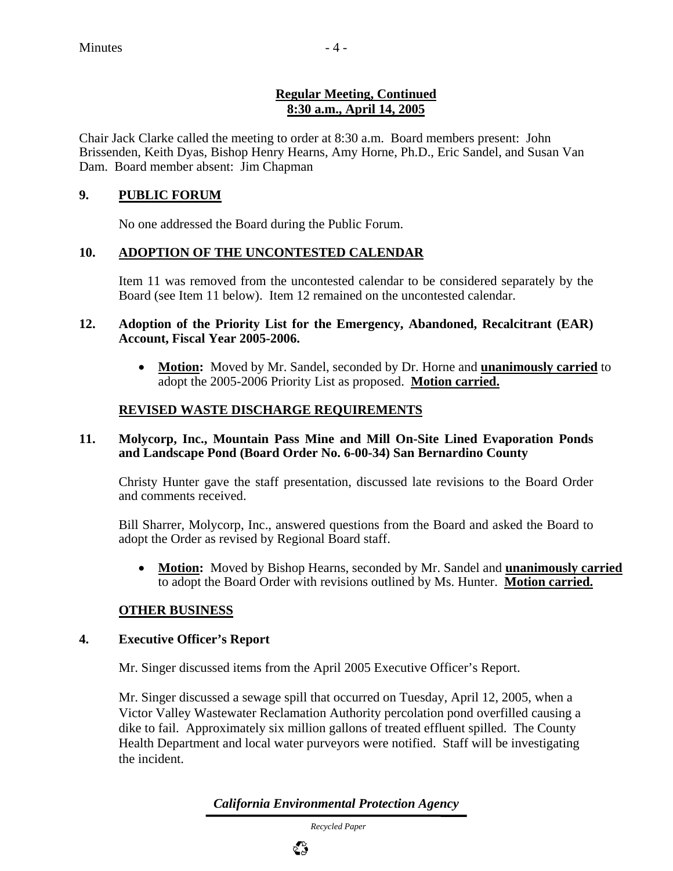## **Regular Meeting, Continued 8:30 a.m., April 14, 2005**

Chair Jack Clarke called the meeting to order at 8:30 a.m. Board members present: John Brissenden, Keith Dyas, Bishop Henry Hearns, Amy Horne, Ph.D., Eric Sandel, and Susan Van Dam. Board member absent: Jim Chapman

## **9. PUBLIC FORUM**

No one addressed the Board during the Public Forum.

## **10. ADOPTION OF THE UNCONTESTED CALENDAR**

Item 11 was removed from the uncontested calendar to be considered separately by the Board (see Item 11 below). Item 12 remained on the uncontested calendar.

#### **12. Adoption of the Priority List for the Emergency, Abandoned, Recalcitrant (EAR) Account, Fiscal Year 2005-2006.**

• **Motion:** Moved by Mr. Sandel, seconded by Dr. Horne and **unanimously carried** to adopt the 2005-2006 Priority List as proposed. **Motion carried.**

## **REVISED WASTE DISCHARGE REQUIREMENTS**

## **11. Molycorp, Inc., Mountain Pass Mine and Mill On-Site Lined Evaporation Ponds and Landscape Pond (Board Order No. 6-00-34) San Bernardino County**

Christy Hunter gave the staff presentation, discussed late revisions to the Board Order and comments received.

Bill Sharrer, Molycorp, Inc., answered questions from the Board and asked the Board to adopt the Order as revised by Regional Board staff.

• **Motion:** Moved by Bishop Hearns, seconded by Mr. Sandel and **unanimously carried** to adopt the Board Order with revisions outlined by Ms. Hunter. **Motion carried.**

## **OTHER BUSINESS**

## **4. Executive Officer's Report**

Mr. Singer discussed items from the April 2005 Executive Officer's Report.

Mr. Singer discussed a sewage spill that occurred on Tuesday, April 12, 2005, when a Victor Valley Wastewater Reclamation Authority percolation pond overfilled causing a dike to fail. Approximately six million gallons of treated effluent spilled. The County Health Department and local water purveyors were notified. Staff will be investigating the incident.

*California Environmental Protection Agency*